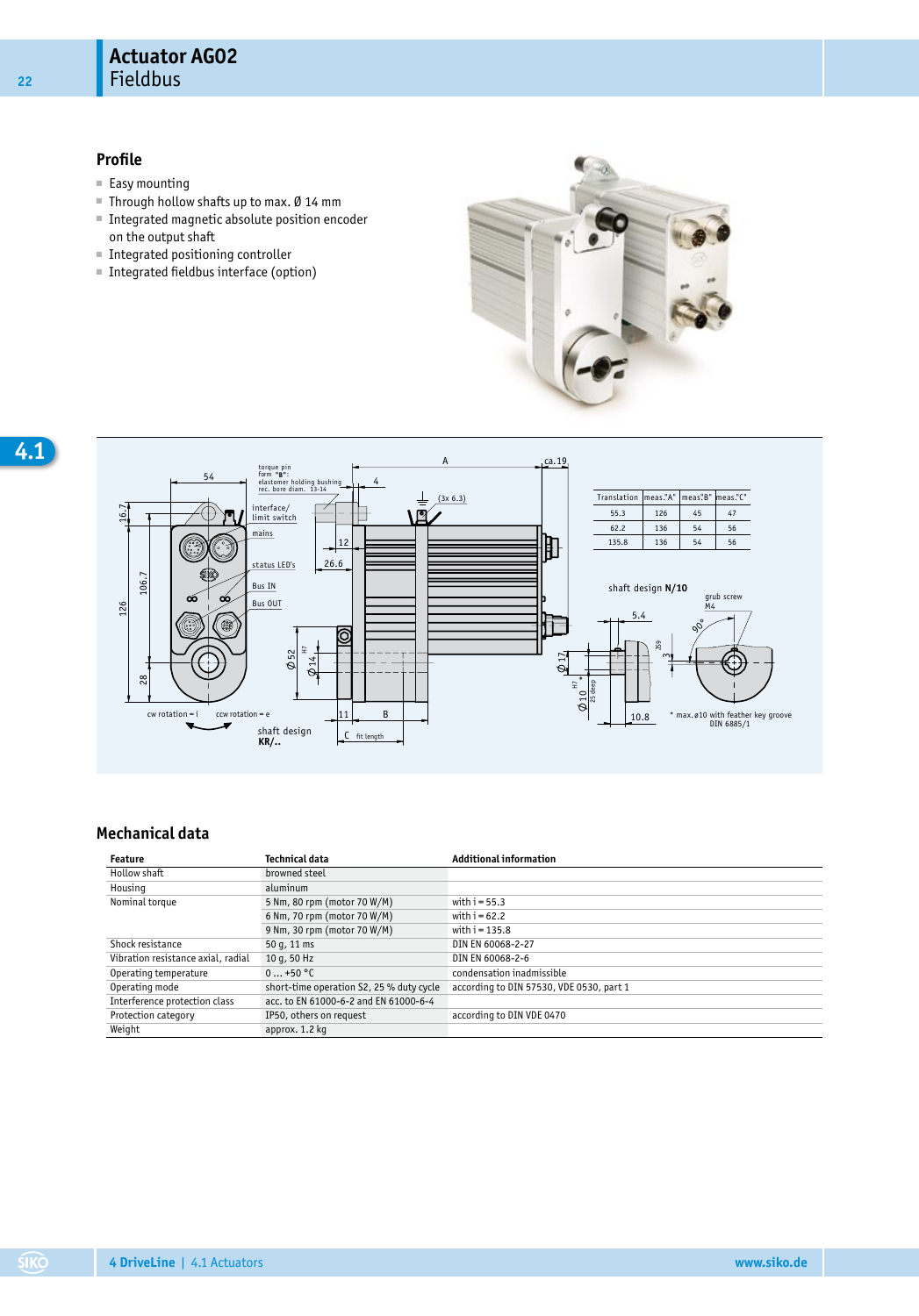## **Profile**

- Easy mounting
- Through hollow shafts up to max. Ø 14 mm
- Integrated magnetic absolute position encoder on the output shaft
- Integrated positioning controller
- Integrated fieldbus interface (option)





## **Mechanical data**

| Feature                            | Technical data                           | <b>Additional information</b>            |
|------------------------------------|------------------------------------------|------------------------------------------|
| Hollow shaft                       | browned steel                            |                                          |
| Housing                            | aluminum                                 |                                          |
| Nominal torque                     | 5 Nm, 80 rpm (motor 70 W/M)              | with $i = 55.3$                          |
|                                    | 6 Nm, 70 rpm (motor 70 W/M)              | with $i = 62.2$                          |
|                                    | 9 Nm, 30 rpm (motor 70 W/M)              | with $i = 135.8$                         |
| Shock resistance                   | 50 g, 11 ms                              | DIN EN 60068-2-27                        |
| Vibration resistance axial, radial | 10 g, 50 Hz                              | DIN EN 60068-2-6                         |
| Operating temperature              | $0+50$ °C                                | condensation inadmissible                |
| Operating mode                     | short-time operation S2, 25 % duty cycle | according to DIN 57530, VDE 0530, part 1 |
| Interference protection class      | acc. to EN 61000-6-2 and EN 61000-6-4    |                                          |
| Protection category                | IP50, others on request                  | according to DIN VDE 0470                |
| Weight                             | approx. 1.2 kg                           |                                          |

**22**

**4**.**1**

**SIKO**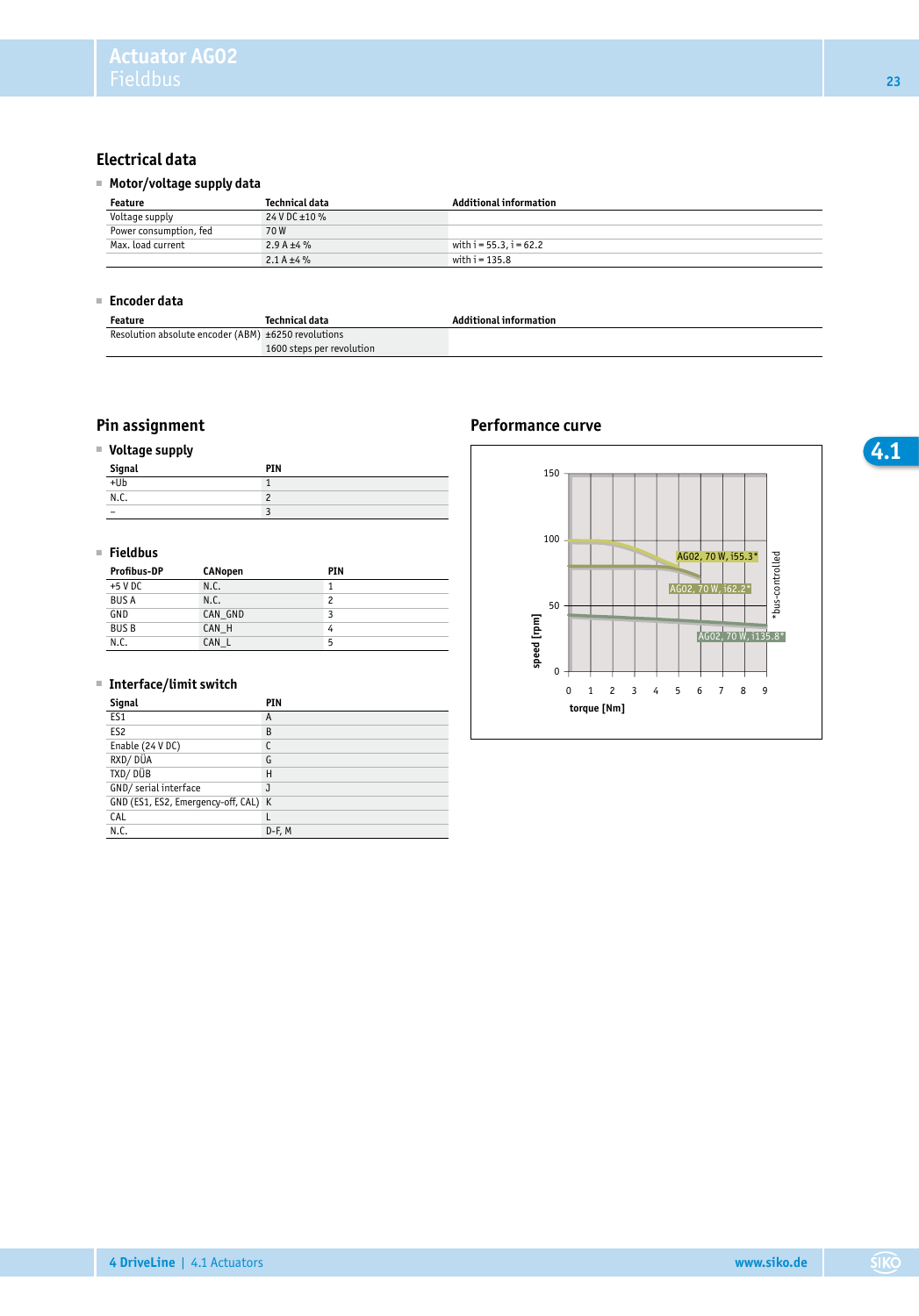# **Electrical data**

## ■ **Motor/voltage supply data**

| Feature                | Technical data  | <b>Additional information</b> |  |
|------------------------|-----------------|-------------------------------|--|
| Voltage supply         | 24 V DC ±10 %   |                               |  |
| Power consumption, fed | 70W             |                               |  |
| Max. load current      | 2.9 A $\pm 4$ % | with $i = 55.3$ , $i = 62.2$  |  |
|                        | 2.1 A $\pm 4\%$ | with $i = 135.8$              |  |

#### ■ **Encoder data**

| Feature                                             | Technical data            | <b>Additional information</b> |
|-----------------------------------------------------|---------------------------|-------------------------------|
| Resolution absolute encoder (ABM) ±6250 revolutions |                           |                               |
|                                                     | 1600 steps per revolution |                               |

## ■ **Voltage supply**

| -<br>.<br>$\frac{Signal}{ + Ub}$ | PIN |
|----------------------------------|-----|
|                                  |     |
| N.C.                             |     |
|                                  |     |

## ■ **Fieldbus**

| <b>Profibus-DP</b> | <b>CANopen</b> | PIN |
|--------------------|----------------|-----|
| $+5$ V DC          | N.C.           |     |
| <b>BUS A</b>       | N.C.           | 2   |
| GND                | CAN GND        |     |
| <b>BUSB</b>        | CAN H          | 4   |
| N.C.               | CAN L          | 5   |

#### ■ **Interface/limit switch**

| Signal                               | PIN    |
|--------------------------------------|--------|
| ES <sub>1</sub>                      | A      |
| ES <sub>2</sub>                      | B      |
| Enable (24 V DC)                     |        |
| RXD/DÜA                              | G      |
| TXD/DÜB                              | Н      |
| GND/ serial interface                |        |
| GND (ES1, ES2, Emergency-off, CAL) K |        |
| CAL                                  |        |
| N.C.                                 | D-F, M |

## **Pin assignment Pin assignment Performance curve**